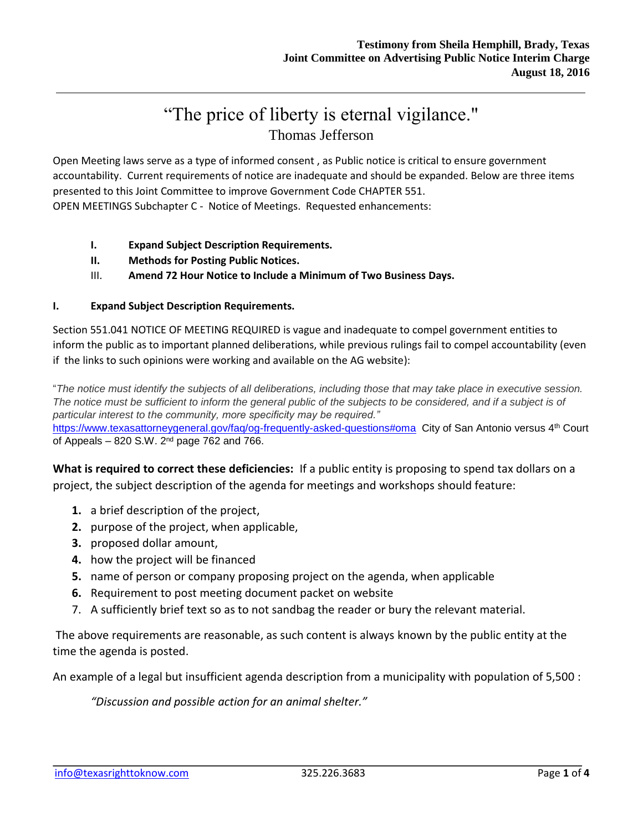# "The price of liberty is eternal vigilance." Thomas Jefferson

Open Meeting laws serve as a type of informed consent , as Public notice is critical to ensure government accountability. Current requirements of notice are inadequate and should be expanded. Below are three items presented to this Joint Committee to improve Government Code CHAPTER 551.

OPEN MEETINGS Subchapter C - Notice of Meetings. Requested enhancements:

- **I. Expand Subject Description Requirements.**
- **II. Methods for Posting Public Notices.**
- III. **Amend 72 Hour Notice to Include a Minimum of Two Business Days.**

## **I. Expand Subject Description Requirements.**

Section 551.041 NOTICE OF MEETING REQUIRED is vague and inadequate to compel government entities to inform the public as to important planned deliberations, while previous rulings fail to compel accountability (even if the links to such opinions were working and available on the AG website):

"*The notice must identify the subjects of all deliberations, including those that may take place in executive session.*  The notice must be sufficient to inform the general public of the subjects to be considered, and if a subject is of *particular interest to the community, more specificity may be required."* <https://www.texasattorneygeneral.gov/faq/og-frequently-asked-questions#oma> City of San Antonio versus 4<sup>th</sup> Court of Appeals – 820 S.W. 2nd page 762 and 766.

**What is required to correct these deficiencies:** If a public entity is proposing to spend tax dollars on a project, the subject description of the agenda for meetings and workshops should feature:

- **1.** a brief description of the project,
- **2.** purpose of the project, when applicable,
- **3.** proposed dollar amount,
- **4.** how the project will be financed
- **5.** name of person or company proposing project on the agenda, when applicable
- **6.** Requirement to post meeting document packet on website
- 7. A sufficiently brief text so as to not sandbag the reader or bury the relevant material.

The above requirements are reasonable, as such content is always known by the public entity at the time the agenda is posted.

An example of a legal but insufficient agenda description from a municipality with population of 5,500 :

*"Discussion and possible action for an animal shelter."*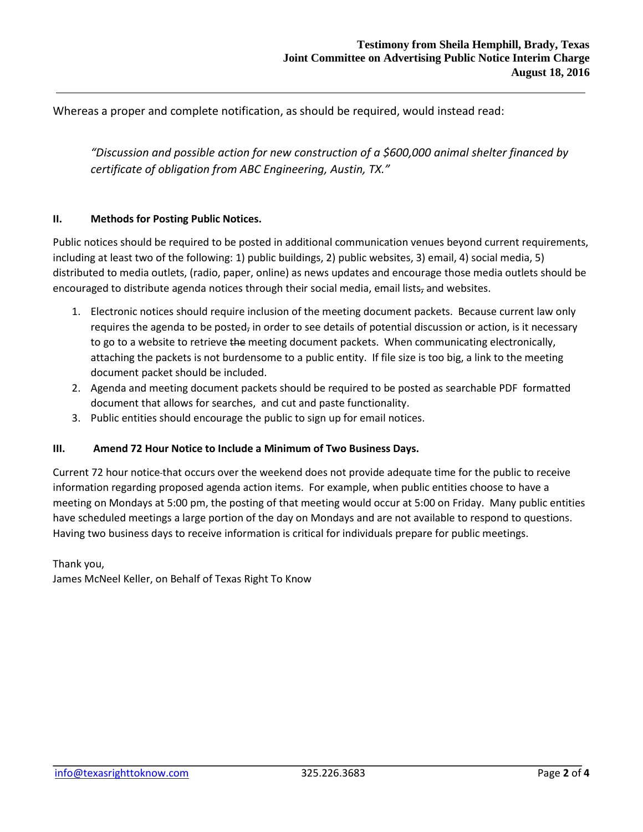Whereas a proper and complete notification, as should be required, would instead read:

*"Discussion and possible action for new construction of a \$600,000 animal shelter financed by certificate of obligation from ABC Engineering, Austin, TX."*

### **II. Methods for Posting Public Notices.**

Public notices should be required to be posted in additional communication venues beyond current requirements, including at least two of the following: 1) public buildings, 2) public websites, 3) email, 4) social media, 5) distributed to media outlets, (radio, paper, online) as news updates and encourage those media outlets should be encouraged to distribute agenda notices through their social media, email lists, and websites.

- 1. Electronic notices should require inclusion of the meeting document packets. Because current law only requires the agenda to be posted, in order to see details of potential discussion or action, is it necessary to go to a website to retrieve the meeting document packets. When communicating electronically, attaching the packets is not burdensome to a public entity. If file size is too big, a link to the meeting document packet should be included.
- 2. Agenda and meeting document packets should be required to be posted as searchable PDF formatted document that allows for searches, and cut and paste functionality.
- 3. Public entities should encourage the public to sign up for email notices.

#### **III. Amend 72 Hour Notice to Include a Minimum of Two Business Days.**

Current 72 hour notice that occurs over the weekend does not provide adequate time for the public to receive information regarding proposed agenda action items. For example, when public entities choose to have a meeting on Mondays at 5:00 pm, the posting of that meeting would occur at 5:00 on Friday. Many public entities have scheduled meetings a large portion of the day on Mondays and are not available to respond to questions. Having two business days to receive information is critical for individuals prepare for public meetings.

Thank you, James McNeel Keller, on Behalf of Texas Right To Know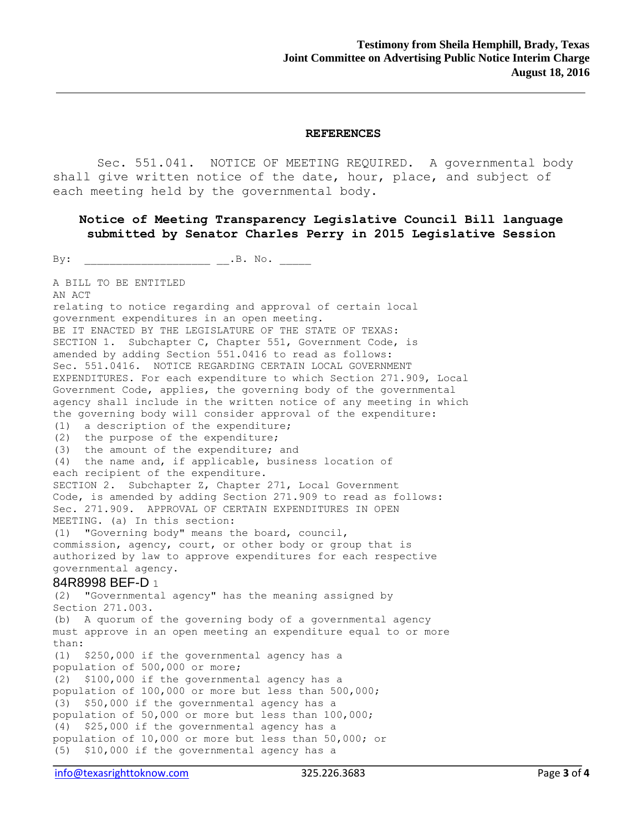#### **REFERENCES**

Sec. 551.041. NOTICE OF MEETING REQUIRED. A governmental body shall give written notice of the date, hour, place, and subject of each meeting held by the governmental body.

## **Notice of Meeting Transparency Legislative Council Bill language submitted by Senator Charles Perry in 2015 Legislative Session**

 $\n By: \n ________ and ________ is a set of  $AB$ .$ 

A BILL TO BE ENTITLED

AN ACT relating to notice regarding and approval of certain local government expenditures in an open meeting. BE IT ENACTED BY THE LEGISLATURE OF THE STATE OF TEXAS: SECTION 1. Subchapter C, Chapter 551, Government Code, is amended by adding Section 551.0416 to read as follows: Sec. 551.0416. NOTICE REGARDING CERTAIN LOCAL GOVERNMENT EXPENDITURES. For each expenditure to which Section 271.909, Local Government Code, applies, the governing body of the governmental agency shall include in the written notice of any meeting in which the governing body will consider approval of the expenditure:  $(1)$  a description of the expenditure; (2) the purpose of the expenditure; (3) the amount of the expenditure; and (4) the name and, if applicable, business location of each recipient of the expenditure. SECTION 2. Subchapter Z, Chapter 271, Local Government Code, is amended by adding Section 271.909 to read as follows: Sec. 271.909. APPROVAL OF CERTAIN EXPENDITURES IN OPEN MEETING. (a) In this section: (1) "Governing body" means the board, council, commission, agency, court, or other body or group that is authorized by law to approve expenditures for each respective governmental agency. 84R8998 BEF-D 1  $(2)$  "Governmental agency" has the meaning assigned by Section 271.003. (b) A quorum of the governing body of a governmental agency must approve in an open meeting an expenditure equal to or more than:  $(1)$  \$250,000 if the governmental agency has a population of 500,000 or more;  $(2)$  \$100,000 if the governmental agency has a population of 100,000 or more but less than 500,000;  $(3)$  \$50,000 if the governmental agency has a population of 50,000 or more but less than 100,000;  $(4)$  \$25,000 if the governmental agency has a population of 10,000 or more but less than 50,000; or (5) \$10,000 if the governmental agency has a